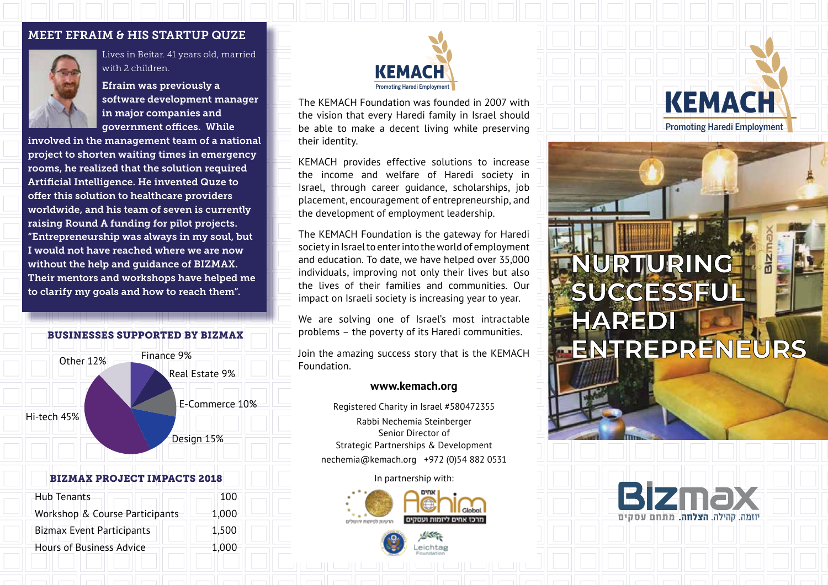### MEET EFRAIM & HIS STARTUP QUZE



Lives in Beitar. 41 years old, married with 2 children.

Efraim was previously a software development manager in major companies and government offices. While

involved in the management team of a national project to shorten waiting times in emergency rooms, he realized that the solution required Artificial Intelligence. He invented Quze to offer this solution to healthcare providers worldwide, and his team of seven is currently raising Round A funding for pilot projects. "Entrepreneurship was always in my soul, but I would not have reached where we are now without the help and guidance of BIZMAX. Their mentors and workshops have helped me to clarify my goals and how to reach them".

### BUSINESSES SUPPORTED BY BIZMAX



### BIZMAX PROJECT IMPACTS 2018

| Hub Tenants                      | 100   |
|----------------------------------|-------|
| Workshop & Course Participants   | 1,000 |
| <b>Bizmax Event Participants</b> | 1,500 |
| <b>Hours of Business Advice</b>  | 1,000 |



The KEMACH Foundation was founded in 2007 with the vision that every Haredi family in Israel should be able to make a decent living while preserving their identity.

KEMACH provides effective solutions to increase the income and welfare of Haredi society in Israel, through career guidance, scholarships, job placement, encouragement of entrepreneurship, and the development of employment leadership.

The KEMACH Foundation is the gateway for Haredi society in Israel to enter into the world of employment and education. To date, we have helped over 35,000 individuals, improving not only their lives but also the lives of their families and communities. Our impact on Israeli society is increasing year to year.

We are solving one of Israel's most intractable problems – the poverty of its Haredi communities.

Join the amazing success story that is the KEMACH Foundation.

### **www.kemach.org**

Registered Charity in Israel #580472355 Rabbi Nechemia Steinberger Senior Director of Strategic Partnerships & Development nechemia@kemach.org +972 (0)54 882 0531

In partnership with:





KEMACH Promoting Haredi Employment

# **NURTURING SUCCESSFUL HAREDI ENTREPRENEURS**